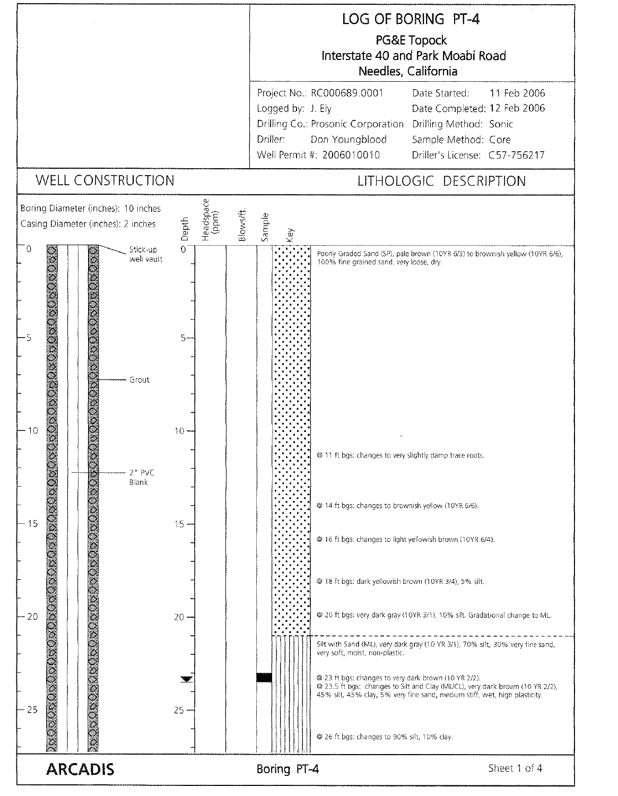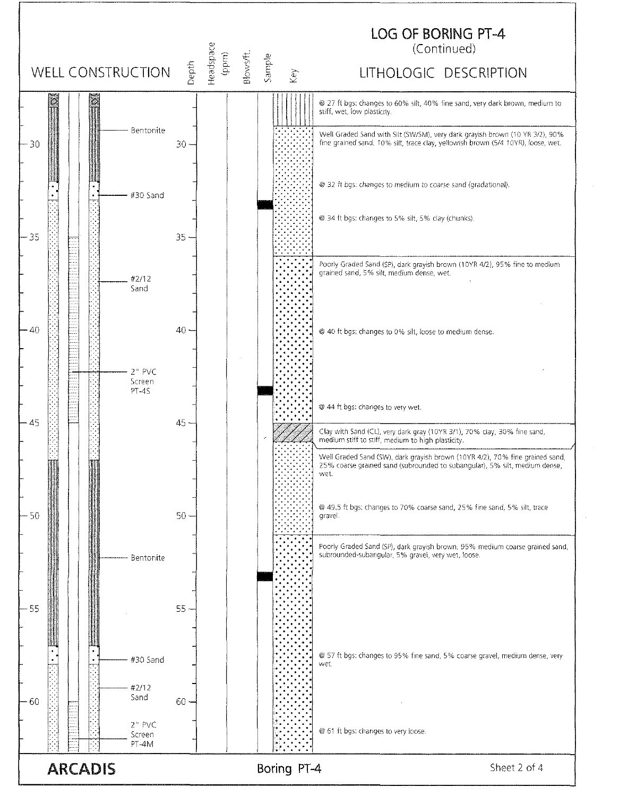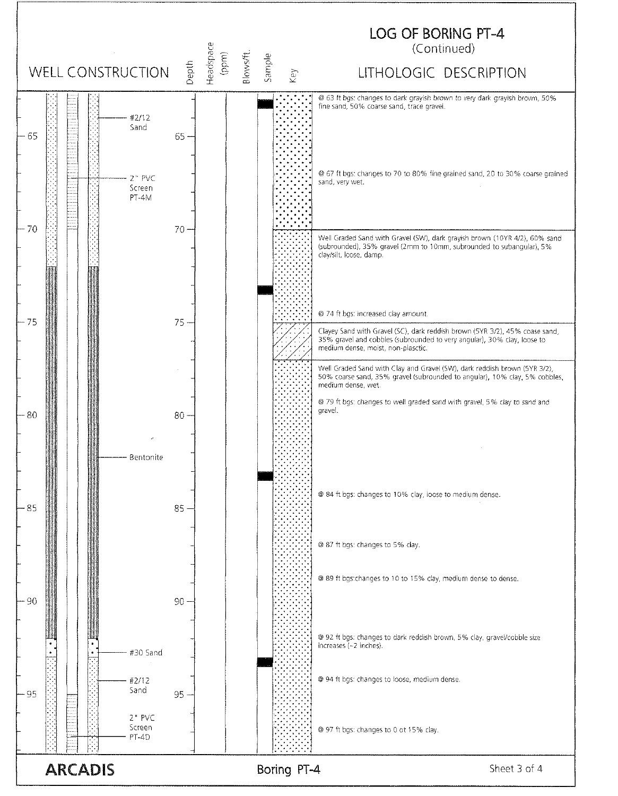